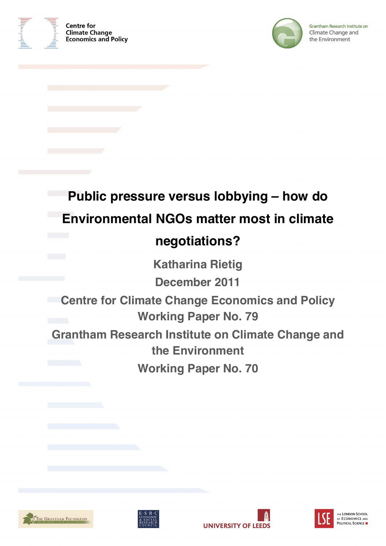



Grantham Research Institute on Climate Change and the Environment

# **Public pressure versus lobbying – how do Environmental NGOs matter most in climate negotiations?**

**Katharina Rietig**

**December 2011**

**Centre for Climate Change Economics and Policy Working Paper No. 79**

**Grantham Research Institute on Climate Change and the Environment** 

**Working Paper No. 70**







![](_page_0_Picture_12.jpeg)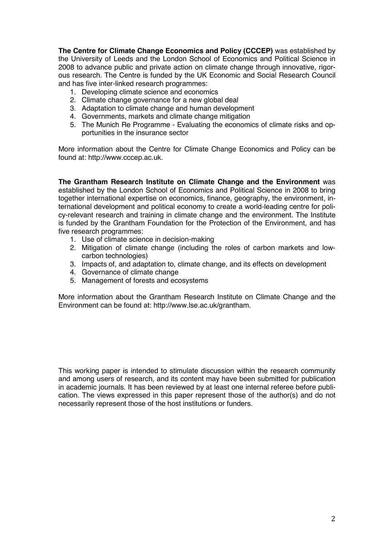**The Centre for Climate Change Economics and Policy (CCCEP)** was established by the University of Leeds and the London School of Economics and Political Science in 2008 to advance public and private action on climate change through innovative, rigorous research. The Centre is funded by the UK Economic and Social Research Council and has five inter-linked research programmes:

- 1. Developing climate science and economics
- 2. Climate change governance for a new global deal
- 3. Adaptation to climate change and human development
- 4. Governments, markets and climate change mitigation
- 5. The Munich Re Programme Evaluating the economics of climate risks and opportunities in the insurance sector

More information about the Centre for Climate Change Economics and Policy can be found at: http://www.cccep.ac.uk.

**The Grantham Research Institute on Climate Change and the Environment** was established by the London School of Economics and Political Science in 2008 to bring together international expertise on economics, finance, geography, the environment, international development and political economy to create a world-leading centre for policy-relevant research and training in climate change and the environment. The Institute is funded by the Grantham Foundation for the Protection of the Environment, and has five research programmes:

- 1. Use of climate science in decision-making
- 2. Mitigation of climate change (including the roles of carbon markets and lowcarbon technologies)
- 3. Impacts of, and adaptation to, climate change, and its effects on development
- 4. Governance of climate change
- 5. Management of forests and ecosystems

More information about the Grantham Research Institute on Climate Change and the Environment can be found at: http://www.lse.ac.uk/grantham.

This working paper is intended to stimulate discussion within the research community and among users of research, and its content may have been submitted for publication in academic journals. It has been reviewed by at least one internal referee before publication. The views expressed in this paper represent those of the author(s) and do not necessarily represent those of the host institutions or funders.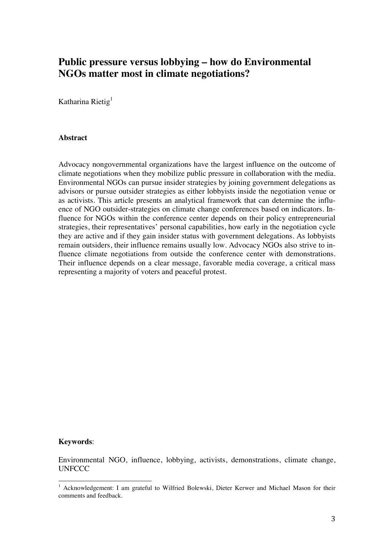# **Public pressure versus lobbying – how do Environmental NGOs matter most in climate negotiations?**

Katharina Rietig $<sup>1</sup>$ </sup>

## **Abstract**

Advocacy nongovernmental organizations have the largest influence on the outcome of climate negotiations when they mobilize public pressure in collaboration with the media. Environmental NGOs can pursue insider strategies by joining government delegations as advisors or pursue outsider strategies as either lobbyists inside the negotiation venue or as activists. This article presents an analytical framework that can determine the influence of NGO outsider-strategies on climate change conferences based on indicators. Influence for NGOs within the conference center depends on their policy entrepreneurial strategies, their representatives' personal capabilities, how early in the negotiation cycle they are active and if they gain insider status with government delegations. As lobbyists remain outsiders, their influence remains usually low. Advocacy NGOs also strive to influence climate negotiations from outside the conference center with demonstrations. Their influence depends on a clear message, favorable media coverage, a critical mass representing a majority of voters and peaceful protest.

#### **Keywords**:

Environmental NGO, influence, lobbying, activists, demonstrations, climate change, **UNFCCC** 

 1 Acknowledgement: I am grateful to Wilfried Bolewski, Dieter Kerwer and Michael Mason for their comments and feedback.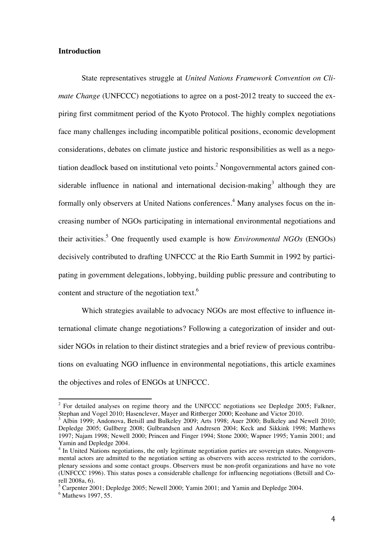#### **Introduction**

State representatives struggle at *United Nations Framework Convention on Climate Change* (UNFCCC) negotiations to agree on a post-2012 treaty to succeed the expiring first commitment period of the Kyoto Protocol. The highly complex negotiations face many challenges including incompatible political positions, economic development considerations, debates on climate justice and historic responsibilities as well as a negotiation deadlock based on institutional veto points.<sup>2</sup> Nongovernmental actors gained considerable influence in national and international decision-making<sup>3</sup> although they are formally only observers at United Nations conferences.<sup>4</sup> Many analyses focus on the increasing number of NGOs participating in international environmental negotiations and their activities.<sup>5</sup> One frequently used example is how *Environmental NGOs* (ENGOs) decisively contributed to drafting UNFCCC at the Rio Earth Summit in 1992 by participating in government delegations, lobbying, building public pressure and contributing to content and structure of the negotiation text. $<sup>6</sup>$ </sup>

Which strategies available to advocacy NGOs are most effective to influence international climate change negotiations? Following a categorization of insider and outsider NGOs in relation to their distinct strategies and a brief review of previous contributions on evaluating NGO influence in environmental negotiations, this article examines the objectives and roles of ENGOs at UNFCCC.

 $2^2$  For detailed analyses on regime theory and the UNFCCC negotiations see Depledge 2005; Falkner, Stephan and Vogel 2010; Hasenclever, Mayer and Rittberger 2000; Keohane and Victor 2010.

<sup>&</sup>lt;sup>3</sup> Albin 1999; Andonova, Betsill and Bulkeley 2009; Arts 1998; Auer 2000; Bulkeley and Newell 2010; Depledge 2005; Gullberg 2008; Gulbrandsen and Andresen 2004; Keck and Sikkink 1998; Matthews 1997; Najam 1998; Newell 2000; Princen and Finger 1994; Stone 2000; Wapner 1995; Yamin 2001; and Yamin and Depledge 2004.

<sup>&</sup>lt;sup>4</sup> In United Nations negotiations, the only legitimate negotiation parties are sovereign states. Nongovernmental actors are admitted to the negotiation setting as observers with access restricted to the corridors, plenary sessions and some contact groups. Observers must be non-profit organizations and have no vote (UNFCCC 1996). This status poses a considerable challenge for influencing negotiations (Betsill and Corell 2008a, 6).

<sup>&</sup>lt;sup>5</sup> Carpenter 2001; Depledge 2005; Newell 2000; Yamin 2001; and Yamin and Depledge 2004.

 $<sup>6</sup>$  Mathews 1997, 55.</sup>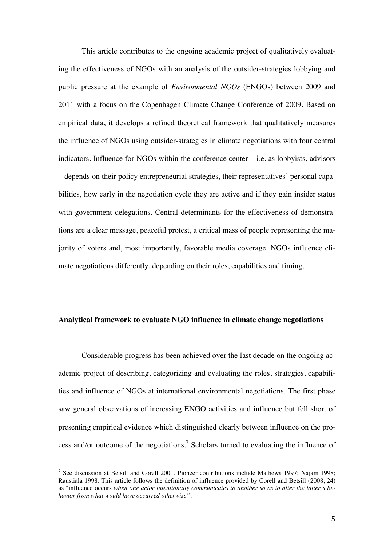This article contributes to the ongoing academic project of qualitatively evaluating the effectiveness of NGOs with an analysis of the outsider-strategies lobbying and public pressure at the example of *Environmental NGOs* (ENGOs) between 2009 and 2011 with a focus on the Copenhagen Climate Change Conference of 2009. Based on empirical data, it develops a refined theoretical framework that qualitatively measures the influence of NGOs using outsider-strategies in climate negotiations with four central indicators. Influence for NGOs within the conference center – i.e. as lobbyists, advisors – depends on their policy entrepreneurial strategies, their representatives' personal capabilities, how early in the negotiation cycle they are active and if they gain insider status with government delegations. Central determinants for the effectiveness of demonstrations are a clear message, peaceful protest, a critical mass of people representing the majority of voters and, most importantly, favorable media coverage. NGOs influence climate negotiations differently, depending on their roles, capabilities and timing.

#### **Analytical framework to evaluate NGO influence in climate change negotiations**

 Considerable progress has been achieved over the last decade on the ongoing academic project of describing, categorizing and evaluating the roles, strategies, capabilities and influence of NGOs at international environmental negotiations. The first phase saw general observations of increasing ENGO activities and influence but fell short of presenting empirical evidence which distinguished clearly between influence on the process and/or outcome of the negotiations.<sup>7</sup> Scholars turned to evaluating the influence of

<sup>&</sup>lt;sup>7</sup> See discussion at Betsill and Corell 2001. Pioneer contributions include Mathews 1997; Najam 1998; Raustiala 1998. This article follows the definition of influence provided by Corell and Betsill (2008, 24) as "influence occurs *when one actor intentionally communicates to another so as to alter the latter's behavior from what would have occurred otherwise"*.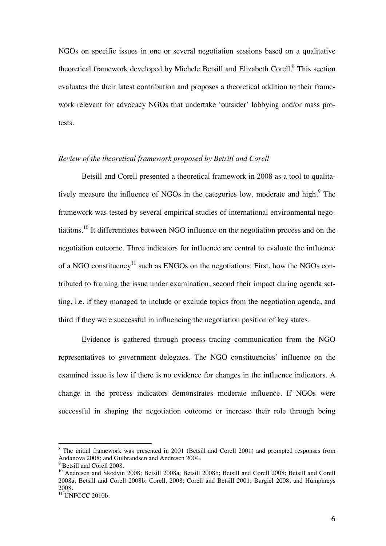NGOs on specific issues in one or several negotiation sessions based on a qualitative theoretical framework developed by Michele Betsill and Elizabeth Corell.<sup>8</sup> This section evaluates the their latest contribution and proposes a theoretical addition to their framework relevant for advocacy NGOs that undertake 'outsider' lobbying and/or mass protests.

#### *Review of the theoretical framework proposed by Betsill and Corell*

Betsill and Corell presented a theoretical framework in 2008 as a tool to qualitatively measure the influence of NGOs in the categories low, moderate and high.<sup>9</sup> The framework was tested by several empirical studies of international environmental negotiations.10 It differentiates between NGO influence on the negotiation process and on the negotiation outcome. Three indicators for influence are central to evaluate the influence of a NGO constituency<sup>11</sup> such as ENGOs on the negotiations: First, how the NGOs contributed to framing the issue under examination, second their impact during agenda setting, i.e. if they managed to include or exclude topics from the negotiation agenda, and third if they were successful in influencing the negotiation position of key states.

Evidence is gathered through process tracing communication from the NGO representatives to government delegates. The NGO constituencies' influence on the examined issue is low if there is no evidence for changes in the influence indicators. A change in the process indicators demonstrates moderate influence. If NGOs were successful in shaping the negotiation outcome or increase their role through being

<sup>&</sup>lt;sup>8</sup> The initial framework was presented in 2001 (Betsill and Corell 2001) and prompted responses from Andanova 2008; and Gulbrandsen and Andresen 2004.

<sup>&</sup>lt;sup>9</sup> Betsill and Corell 2008.

<sup>10</sup> Andresen and Skodvin 2008; Betsill 2008a; Betsill 2008b; Betsill and Corell 2008; Betsill and Corell 2008a; Betsill and Corell 2008b; Corell, 2008; Corell and Betsill 2001; Burgiel 2008; and Humphreys 2008.

 $11$  UNFCCC 2010b.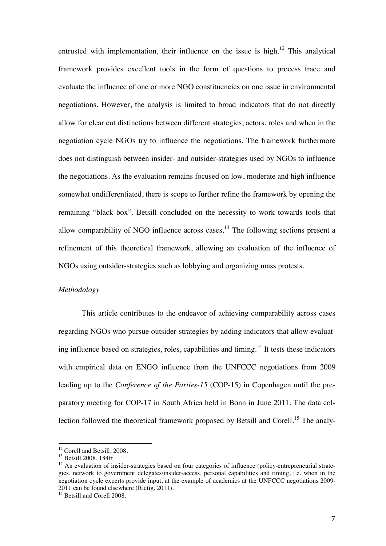entrusted with implementation, their influence on the issue is high.<sup>12</sup> This analytical framework provides excellent tools in the form of questions to process trace and evaluate the influence of one or more NGO constituencies on one issue in environmental negotiations. However, the analysis is limited to broad indicators that do not directly allow for clear cut distinctions between different strategies, actors, roles and when in the negotiation cycle NGOs try to influence the negotiations. The framework furthermore does not distinguish between insider- and outsider-strategies used by NGOs to influence the negotiations. As the evaluation remains focused on low, moderate and high influence somewhat undifferentiated, there is scope to further refine the framework by opening the remaining "black box". Betsill concluded on the necessity to work towards tools that allow comparability of NGO influence across cases.<sup>13</sup> The following sections present a refinement of this theoretical framework, allowing an evaluation of the influence of NGOs using outsider-strategies such as lobbying and organizing mass protests.

#### *Methodology*

This article contributes to the endeavor of achieving comparability across cases regarding NGOs who pursue outsider-strategies by adding indicators that allow evaluating influence based on strategies, roles, capabilities and timing.<sup>14</sup> It tests these indicators with empirical data on ENGO influence from the UNFCCC negotiations from 2009 leading up to the *Conference of the Parties-15* (COP-15) in Copenhagen until the preparatory meeting for COP-17 in South Africa held in Bonn in June 2011. The data collection followed the theoretical framework proposed by Betsill and Corell.<sup>15</sup> The analy-

<sup>&</sup>lt;sup>12</sup> Corell and Betsill, 2008.

<sup>&</sup>lt;sup>13</sup> Betsill 2008, 184ff.

<sup>&</sup>lt;sup>14</sup> An evaluation of insider-strategies based on four categories of influence (policy-entrepreneurial strategies, network to government delegates/insider-access, personal capabilities and timing, i.e. when in the negotiation cycle experts provide input, at the example of academics at the UNFCCC negotiations 2009- 2011 can be found elsewhere (Rietig, 2011).

<sup>&</sup>lt;sup>15</sup> Betsill and Corell 2008.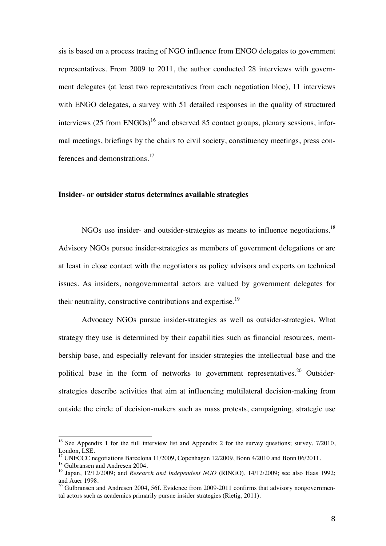sis is based on a process tracing of NGO influence from ENGO delegates to government representatives. From 2009 to 2011, the author conducted 28 interviews with government delegates (at least two representatives from each negotiation bloc), 11 interviews with ENGO delegates, a survey with 51 detailed responses in the quality of structured interviews  $(25 \text{ from ENGOs})^{16}$  and observed 85 contact groups, plenary sessions, informal meetings, briefings by the chairs to civil society, constituency meetings, press conferences and demonstrations.17

#### **Insider- or outsider status determines available strategies**

NGOs use insider- and outsider-strategies as means to influence negotiations.<sup>18</sup> Advisory NGOs pursue insider-strategies as members of government delegations or are at least in close contact with the negotiators as policy advisors and experts on technical issues. As insiders, nongovernmental actors are valued by government delegates for their neutrality, constructive contributions and expertise.<sup>19</sup>

Advocacy NGOs pursue insider-strategies as well as outsider-strategies. What strategy they use is determined by their capabilities such as financial resources, membership base, and especially relevant for insider-strategies the intellectual base and the political base in the form of networks to government representatives.<sup>20</sup> Outsiderstrategies describe activities that aim at influencing multilateral decision-making from outside the circle of decision-makers such as mass protests, campaigning, strategic use

<sup>&</sup>lt;sup>16</sup> See Appendix 1 for the full interview list and Appendix 2 for the survey questions; survey,  $7/2010$ , London, LSE.

<sup>&</sup>lt;sup>17</sup> UNFCCC negotiations Barcelona 11/2009, Copenhagen 12/2009, Bonn 4/2010 and Bonn 06/2011.<br><sup>18</sup> Gulbransen and Andresen 2004.

<sup>&</sup>lt;sup>19</sup> Japan, 12/12/2009; and *Research and Independent NGO* (RINGO), 14/12/2009; see also Haas 1992; and Auer 1998.

 $20$  Gulbransen and Andresen 2004, 56f. Evidence from 2009-2011 confirms that advisory nongovernmental actors such as academics primarily pursue insider strategies (Rietig, 2011).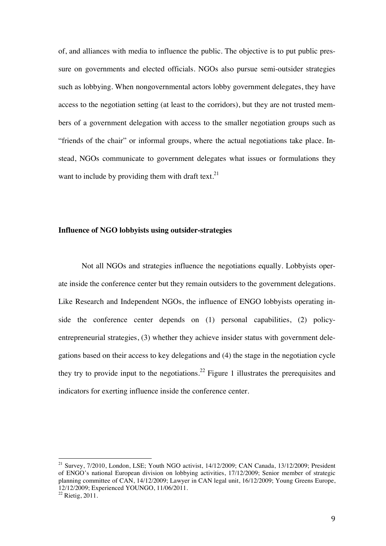of, and alliances with media to influence the public. The objective is to put public pressure on governments and elected officials. NGOs also pursue semi-outsider strategies such as lobbying. When nongovernmental actors lobby government delegates, they have access to the negotiation setting (at least to the corridors), but they are not trusted members of a government delegation with access to the smaller negotiation groups such as "friends of the chair" or informal groups, where the actual negotiations take place. Instead, NGOs communicate to government delegates what issues or formulations they want to include by providing them with draft text. $2<sup>1</sup>$ 

## **Influence of NGO lobbyists using outsider-strategies**

Not all NGOs and strategies influence the negotiations equally. Lobbyists operate inside the conference center but they remain outsiders to the government delegations. Like Research and Independent NGOs, the influence of ENGO lobbyists operating inside the conference center depends on (1) personal capabilities, (2) policyentrepreneurial strategies, (3) whether they achieve insider status with government delegations based on their access to key delegations and (4) the stage in the negotiation cycle they try to provide input to the negotiations.<sup>22</sup> Figure 1 illustrates the prerequisites and indicators for exerting influence inside the conference center.

<sup>&</sup>lt;sup>21</sup> Survey, 7/2010, London, LSE; Youth NGO activist, 14/12/2009; CAN Canada, 13/12/2009; President of ENGO's national European division on lobbying activities, 17/12/2009; Senior member of strategic planning committee of CAN, 14/12/2009; Lawyer in CAN legal unit, 16/12/2009; Young Greens Europe, 12/12/2009; Experienced YOUNGO, 11/06/2011.

 $22$  Rietig, 2011.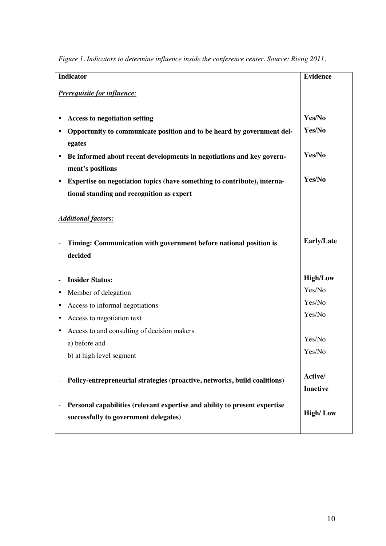| <b>Indicator</b>                                                                              | <b>Evidence</b> |  |  |  |  |
|-----------------------------------------------------------------------------------------------|-----------------|--|--|--|--|
| Prerequisite for influence:                                                                   |                 |  |  |  |  |
| <b>Access to negotiation setting</b>                                                          | Yes/No          |  |  |  |  |
|                                                                                               | Yes/No          |  |  |  |  |
| Opportunity to communicate position and to be heard by government del-<br>$\bullet$<br>egates |                 |  |  |  |  |
| Be informed about recent developments in negotiations and key govern-                         |                 |  |  |  |  |
| ment's positions                                                                              |                 |  |  |  |  |
| Expertise on negotiation topics (have something to contribute), interna-                      | Yes/No          |  |  |  |  |
| tional standing and recognition as expert                                                     |                 |  |  |  |  |
| <b>Additional factors:</b>                                                                    |                 |  |  |  |  |
|                                                                                               |                 |  |  |  |  |
| Timing: Communication with government before national position is                             | Early/Late      |  |  |  |  |
| decided                                                                                       |                 |  |  |  |  |
|                                                                                               |                 |  |  |  |  |
| <b>Insider Status:</b>                                                                        | <b>High/Low</b> |  |  |  |  |
| Member of delegation<br>$\bullet$                                                             | Yes/No          |  |  |  |  |
| Access to informal negotiations                                                               | Yes/No          |  |  |  |  |
| Access to negotiation text<br>$\bullet$                                                       | Yes/No          |  |  |  |  |
| Access to and consulting of decision makers<br>$\bullet$                                      |                 |  |  |  |  |
| a) before and                                                                                 | Yes/No          |  |  |  |  |
| b) at high level segment                                                                      | Yes/No          |  |  |  |  |
|                                                                                               | Active/         |  |  |  |  |
| Policy-entrepreneurial strategies (proactive, networks, build coalitions)<br>$\overline{a}$   | <b>Inactive</b> |  |  |  |  |
|                                                                                               |                 |  |  |  |  |
| Personal capabilities (relevant expertise and ability to present expertise                    |                 |  |  |  |  |

*Figure 1. Indicators to determine influence inside the conference center. Source: Rietig 2011.*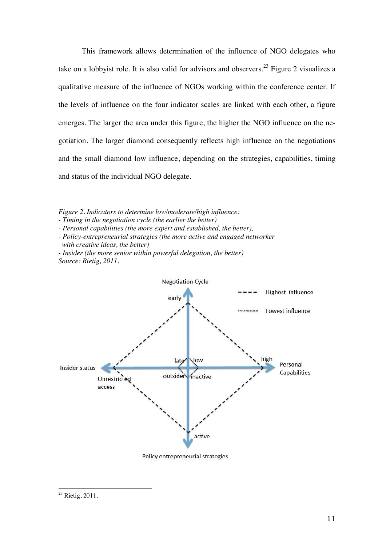This framework allows determination of the influence of NGO delegates who take on a lobbyist role. It is also valid for advisors and observers.<sup>23</sup> Figure 2 visualizes a qualitative measure of the influence of NGOs working within the conference center. If the levels of influence on the four indicator scales are linked with each other, a figure emerges. The larger the area under this figure, the higher the NGO influence on the negotiation. The larger diamond consequently reflects high influence on the negotiations and the small diamond low influence, depending on the strategies, capabilities, timing and status of the individual NGO delegate.

*Figure 2. Indicators to determine low/moderate/high influence:* 

*- Timing in the negotiation cycle (the earlier the better)* 

*- Personal capabilities (the more expert and established, the better),* 

*- Policy-entrepreneurial strategies (the more active and engaged networker with creative ideas, the better)* 

*- Insider (the more senior within powerful delegation, the better) Source: Rietig, 2011.*

![](_page_10_Figure_6.jpeg)

Policy entrepreneurial strategies

 $^{23}$  Rietig, 2011.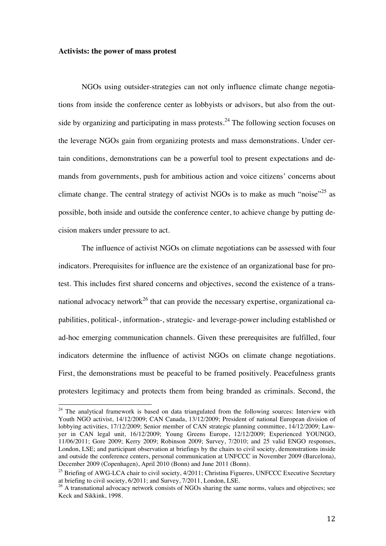#### **Activists: the power of mass protest**

 $\overline{a}$ 

NGOs using outsider-strategies can not only influence climate change negotiations from inside the conference center as lobbyists or advisors, but also from the outside by organizing and participating in mass protests.<sup>24</sup> The following section focuses on the leverage NGOs gain from organizing protests and mass demonstrations. Under certain conditions, demonstrations can be a powerful tool to present expectations and demands from governments, push for ambitious action and voice citizens' concerns about climate change. The central strategy of activist NGOs is to make as much "noise"<sup>25</sup> as possible, both inside and outside the conference center, to achieve change by putting decision makers under pressure to act.

 The influence of activist NGOs on climate negotiations can be assessed with four indicators. Prerequisites for influence are the existence of an organizational base for protest. This includes first shared concerns and objectives, second the existence of a transnational advocacy network<sup>26</sup> that can provide the necessary expertise, organizational capabilities, political-, information-, strategic- and leverage-power including established or ad-hoc emerging communication channels. Given these prerequisites are fulfilled, four indicators determine the influence of activist NGOs on climate change negotiations. First, the demonstrations must be peaceful to be framed positively. Peacefulness grants protesters legitimacy and protects them from being branded as criminals. Second, the

 $24$  The analytical framework is based on data triangulated from the following sources: Interview with Youth NGO activist, 14/12/2009; CAN Canada, 13/12/2009; President of national European division of lobbying activities, 17/12/2009; Senior member of CAN strategic planning committee, 14/12/2009; Lawyer in CAN legal unit, 16/12/2009; Young Greens Europe, 12/12/2009; Experienced YOUNGO, 11/06/2011; Gore 2009; Kerry 2009; Robinson 2009; Survey, 7/2010; and 25 valid ENGO responses, London, LSE; and participant observation at briefings by the chairs to civil society, demonstrations inside and outside the conference centers, personal communication at UNFCCC in November 2009 (Barcelona), December 2009 (Copenhagen), April 2010 (Bonn) and June 2011 (Bonn).

<sup>&</sup>lt;sup>25</sup> Briefing of AWG-LCA chair to civil society,  $4/2011$ ; Christina Figueres, UNFCCC Executive Secretary at briefing to civil society,  $6/2011$ ; and Survey,  $7/2011$ , London, LSE.

 $\frac{26}{26}$  A transnational advocacy network consists of NGOs sharing the same norms, values and objectives; see Keck and Sikkink, 1998.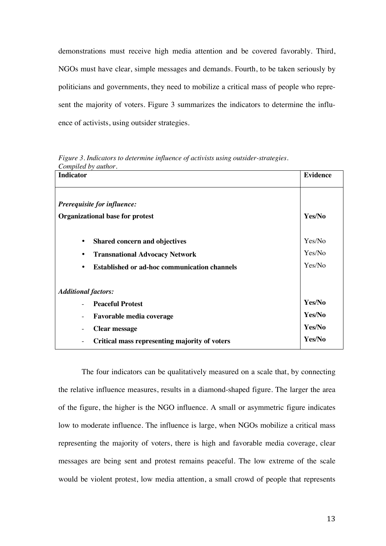demonstrations must receive high media attention and be covered favorably. Third, NGOs must have clear, simple messages and demands. Fourth, to be taken seriously by politicians and governments, they need to mobilize a critical mass of people who represent the majority of voters. Figure 3 summarizes the indicators to determine the influence of activists, using outsider strategies.

| $\omega$ <i>onputuv<math>\theta</math>y amnon</i> .<br><b>Indicator</b> | <b>Evidence</b> |
|-------------------------------------------------------------------------|-----------------|
| Prerequisite for influence:<br><b>Organizational base for protest</b>   | Yes/No          |
|                                                                         |                 |
| <b>Shared concern and objectives</b>                                    | Yes/No          |
| <b>Transnational Advocacy Network</b><br>٠                              | Yes/No          |
| <b>Established or ad-hoc communication channels</b><br>٠                | Yes/No          |
| <b>Additional factors:</b>                                              |                 |
| <b>Peaceful Protest</b>                                                 | Yes/No          |
| <b>Favorable media coverage</b>                                         | Yes/No          |
| <b>Clear message</b>                                                    | Yes/No          |
| <b>Critical mass representing majority of voters</b>                    | Yes/No          |

*Figure 3. Indicators to determine influence of activists using outsider-strategies. Compiled by author.*

The four indicators can be qualitatively measured on a scale that, by connecting the relative influence measures, results in a diamond-shaped figure. The larger the area of the figure, the higher is the NGO influence. A small or asymmetric figure indicates low to moderate influence. The influence is large, when NGOs mobilize a critical mass representing the majority of voters, there is high and favorable media coverage, clear messages are being sent and protest remains peaceful. The low extreme of the scale would be violent protest, low media attention, a small crowd of people that represents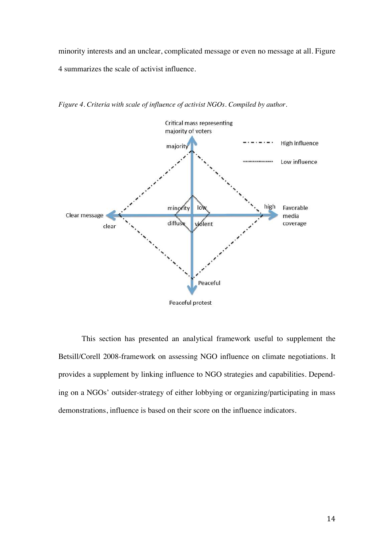minority interests and an unclear, complicated message or even no message at all. Figure 4 summarizes the scale of activist influence.

![](_page_13_Figure_1.jpeg)

*Figure 4. Criteria with scale of influence of activist NGOs. Compiled by author.* 

 This section has presented an analytical framework useful to supplement the Betsill/Corell 2008-framework on assessing NGO influence on climate negotiations. It provides a supplement by linking influence to NGO strategies and capabilities. Depending on a NGOs' outsider-strategy of either lobbying or organizing/participating in mass demonstrations, influence is based on their score on the influence indicators.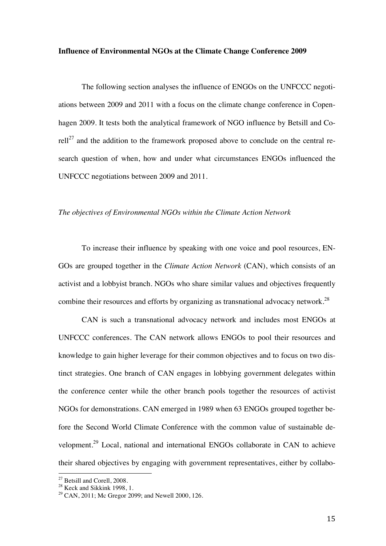#### **Influence of Environmental NGOs at the Climate Change Conference 2009**

The following section analyses the influence of ENGOs on the UNFCCC negotiations between 2009 and 2011 with a focus on the climate change conference in Copenhagen 2009. It tests both the analytical framework of NGO influence by Betsill and Co- $\text{rell}^{27}$  and the addition to the framework proposed above to conclude on the central research question of when, how and under what circumstances ENGOs influenced the UNFCCC negotiations between 2009 and 2011.

#### *The objectives of Environmental NGOs within the Climate Action Network*

To increase their influence by speaking with one voice and pool resources, EN-GOs are grouped together in the *Climate Action Network* (CAN), which consists of an activist and a lobbyist branch. NGOs who share similar values and objectives frequently combine their resources and efforts by organizing as transnational advocacy network.<sup>28</sup>

CAN is such a transnational advocacy network and includes most ENGOs at UNFCCC conferences. The CAN network allows ENGOs to pool their resources and knowledge to gain higher leverage for their common objectives and to focus on two distinct strategies. One branch of CAN engages in lobbying government delegates within the conference center while the other branch pools together the resources of activist NGOs for demonstrations. CAN emerged in 1989 when 63 ENGOs grouped together before the Second World Climate Conference with the common value of sustainable development.<sup>29</sup> Local, national and international ENGOs collaborate in CAN to achieve their shared objectives by engaging with government representatives, either by collabo-

<sup>&</sup>lt;sup>27</sup> Betsill and Corell, 2008.

 $28$  Keck and Sikkink 1998, 1.

 $29$  CAN, 2011; Mc Gregor 2099; and Newell 2000, 126.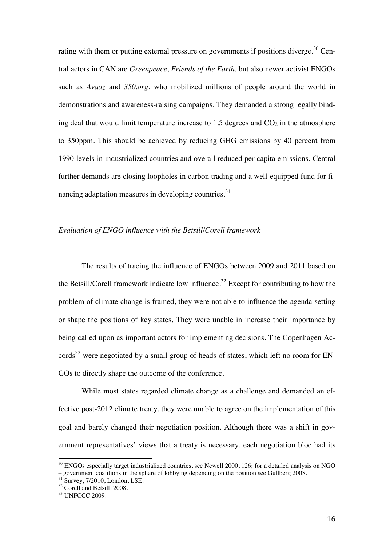rating with them or putting external pressure on governments if positions diverge.<sup>30</sup> Central actors in CAN are *Greenpeace*, *Friends of the Earth,* but also newer activist ENGOs such as *Avaaz* and *350.org*, who mobilized millions of people around the world in demonstrations and awareness-raising campaigns. They demanded a strong legally binding deal that would limit temperature increase to 1.5 degrees and  $CO<sub>2</sub>$  in the atmosphere to 350ppm. This should be achieved by reducing GHG emissions by 40 percent from 1990 levels in industrialized countries and overall reduced per capita emissions. Central further demands are closing loopholes in carbon trading and a well-equipped fund for financing adaptation measures in developing countries.<sup>31</sup>

## *Evaluation of ENGO influence with the Betsill/Corell framework*

The results of tracing the influence of ENGOs between 2009 and 2011 based on the Betsill/Corell framework indicate low influence.<sup>32</sup> Except for contributing to how the problem of climate change is framed, they were not able to influence the agenda-setting or shape the positions of key states. They were unable in increase their importance by being called upon as important actors for implementing decisions. The Copenhagen Ac- $\text{cords}^{33}$  were negotiated by a small group of heads of states, which left no room for EN-GOs to directly shape the outcome of the conference.

While most states regarded climate change as a challenge and demanded an effective post-2012 climate treaty, they were unable to agree on the implementation of this goal and barely changed their negotiation position. Although there was a shift in government representatives' views that a treaty is necessary, each negotiation bloc had its

 $30$  ENGOs especially target industrialized countries, see Newell 2000, 126; for a detailed analysis on NGO – government coalitions in the sphere of lobbying depending on the position see Gullberg 2008.<br><sup>31</sup> Survey, 7/2010, London, LSE.

<sup>&</sup>lt;sup>32</sup> Corell and Betsill, 2008.

<sup>&</sup>lt;sup>33</sup> UNFCCC 2009.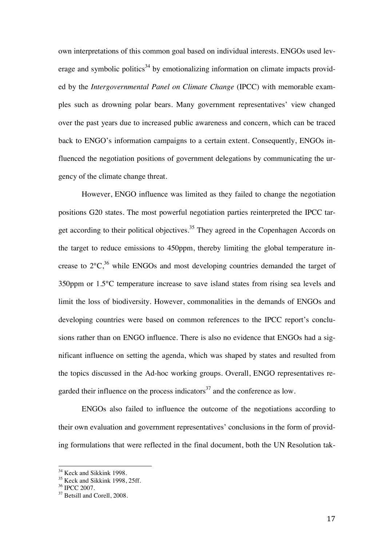own interpretations of this common goal based on individual interests. ENGOs used leverage and symbolic politics<sup>34</sup> by emotionalizing information on climate impacts provided by the *Intergovernmental Panel on Climate Change* (IPCC) with memorable examples such as drowning polar bears. Many government representatives' view changed over the past years due to increased public awareness and concern, which can be traced back to ENGO's information campaigns to a certain extent. Consequently, ENGOs influenced the negotiation positions of government delegations by communicating the urgency of the climate change threat.

However, ENGO influence was limited as they failed to change the negotiation positions G20 states. The most powerful negotiation parties reinterpreted the IPCC target according to their political objectives.<sup>35</sup> They agreed in the Copenhagen Accords on the target to reduce emissions to 450ppm, thereby limiting the global temperature increase to  $2^{\circ}$ C,<sup>36</sup> while ENGOs and most developing countries demanded the target of 350ppm or 1.5°C temperature increase to save island states from rising sea levels and limit the loss of biodiversity. However, commonalities in the demands of ENGOs and developing countries were based on common references to the IPCC report's conclusions rather than on ENGO influence. There is also no evidence that ENGOs had a significant influence on setting the agenda, which was shaped by states and resulted from the topics discussed in the Ad-hoc working groups. Overall, ENGO representatives regarded their influence on the process indicators<sup>37</sup> and the conference as low.

ENGOs also failed to influence the outcome of the negotiations according to their own evaluation and government representatives' conclusions in the form of providing formulations that were reflected in the final document, both the UN Resolution tak-

<sup>&</sup>lt;sup>34</sup> Keck and Sikkink 1998.

 $35$  Keck and Sikkink 1998, 25ff.

 $36$  IPCC 2007.

<sup>&</sup>lt;sup>37</sup> Betsill and Corell, 2008.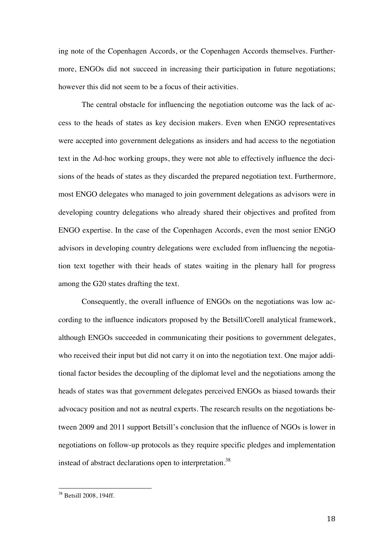ing note of the Copenhagen Accords, or the Copenhagen Accords themselves. Furthermore, ENGOs did not succeed in increasing their participation in future negotiations; however this did not seem to be a focus of their activities.

The central obstacle for influencing the negotiation outcome was the lack of access to the heads of states as key decision makers. Even when ENGO representatives were accepted into government delegations as insiders and had access to the negotiation text in the Ad-hoc working groups, they were not able to effectively influence the decisions of the heads of states as they discarded the prepared negotiation text. Furthermore, most ENGO delegates who managed to join government delegations as advisors were in developing country delegations who already shared their objectives and profited from ENGO expertise. In the case of the Copenhagen Accords, even the most senior ENGO advisors in developing country delegations were excluded from influencing the negotiation text together with their heads of states waiting in the plenary hall for progress among the G20 states drafting the text.

Consequently, the overall influence of ENGOs on the negotiations was low according to the influence indicators proposed by the Betsill/Corell analytical framework, although ENGOs succeeded in communicating their positions to government delegates, who received their input but did not carry it on into the negotiation text. One major additional factor besides the decoupling of the diplomat level and the negotiations among the heads of states was that government delegates perceived ENGOs as biased towards their advocacy position and not as neutral experts. The research results on the negotiations between 2009 and 2011 support Betsill's conclusion that the influence of NGOs is lower in negotiations on follow-up protocols as they require specific pledges and implementation instead of abstract declarations open to interpretation.<sup>38</sup>

<sup>38</sup> Betsill 2008, 194ff.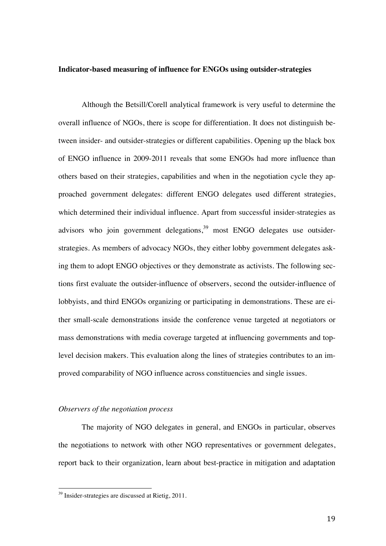#### **Indicator-based measuring of influence for ENGOs using outsider-strategies**

Although the Betsill/Corell analytical framework is very useful to determine the overall influence of NGOs, there is scope for differentiation. It does not distinguish between insider- and outsider-strategies or different capabilities. Opening up the black box of ENGO influence in 2009-2011 reveals that some ENGOs had more influence than others based on their strategies, capabilities and when in the negotiation cycle they approached government delegates: different ENGO delegates used different strategies, which determined their individual influence. Apart from successful insider-strategies as advisors who join government delegations, $39$  most ENGO delegates use outsiderstrategies. As members of advocacy NGOs, they either lobby government delegates asking them to adopt ENGO objectives or they demonstrate as activists. The following sections first evaluate the outsider-influence of observers, second the outsider-influence of lobbyists, and third ENGOs organizing or participating in demonstrations. These are either small-scale demonstrations inside the conference venue targeted at negotiators or mass demonstrations with media coverage targeted at influencing governments and toplevel decision makers. This evaluation along the lines of strategies contributes to an improved comparability of NGO influence across constituencies and single issues.

#### *Observers of the negotiation process*

The majority of NGO delegates in general, and ENGOs in particular, observes the negotiations to network with other NGO representatives or government delegates, report back to their organization, learn about best-practice in mitigation and adaptation

 $39$  Insider-strategies are discussed at Rietig, 2011.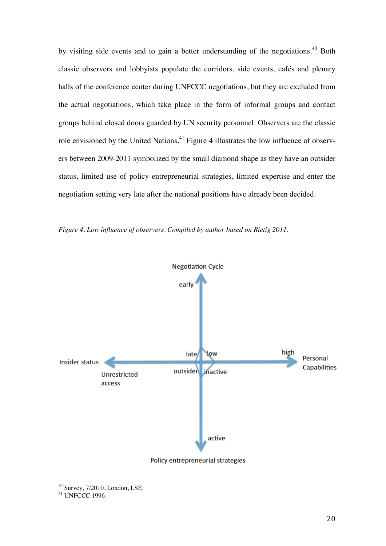by visiting side events and to gain a better understanding of the negotiations.<sup>40</sup> Both classic observers and lobbyists populate the corridors, side events, cafés and plenary halls of the conference center during UNFCCC negotiations, but they are excluded from the actual negotiations, which take place in the form of informal groups and contact groups behind closed doors guarded by UN security personnel. Observers are the classic role envisioned by the United Nations.<sup>41</sup> Figure 4 illustrates the low influence of observers between 2009-2011 symbolized by the small diamond shape as they have an outsider status, limited use of policy entrepreneurial strategies, limited expertise and enter the negotiation setting very late after the national positions have already been decided.

![](_page_19_Figure_1.jpeg)

![](_page_19_Figure_2.jpeg)

 $40$  Survey,  $7/2010$ , London, LSE.

<sup>41</sup> UNFCCC 1996.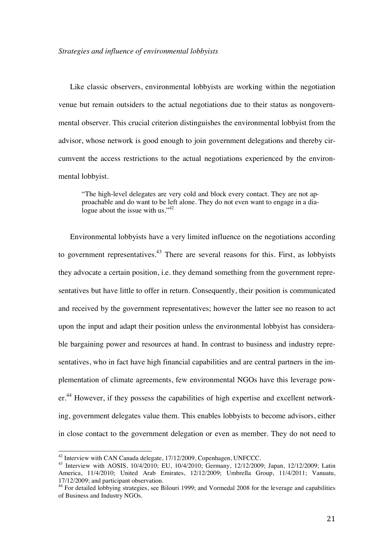Like classic observers, environmental lobbyists are working within the negotiation venue but remain outsiders to the actual negotiations due to their status as nongovernmental observer. This crucial criterion distinguishes the environmental lobbyist from the advisor, whose network is good enough to join government delegations and thereby circumvent the access restrictions to the actual negotiations experienced by the environmental lobbyist.

"The high-level delegates are very cold and block every contact. They are not approachable and do want to be left alone. They do not even want to engage in a dialogue about the issue with us."<sup>42</sup>

Environmental lobbyists have a very limited influence on the negotiations according to government representatives.<sup>43</sup> There are several reasons for this. First, as lobbyists they advocate a certain position, i.e. they demand something from the government representatives but have little to offer in return. Consequently, their position is communicated and received by the government representatives; however the latter see no reason to act upon the input and adapt their position unless the environmental lobbyist has considerable bargaining power and resources at hand. In contrast to business and industry representatives, who in fact have high financial capabilities and are central partners in the implementation of climate agreements, few environmental NGOs have this leverage power.<sup>44</sup> However, if they possess the capabilities of high expertise and excellent networking, government delegates value them. This enables lobbyists to become advisors, either in close contact to the government delegation or even as member. They do not need to

l

<sup>&</sup>lt;sup>42</sup> Interview with CAN Canada delegate,  $17/12/2009$ , Copenhagen, UNFCCC.<br><sup>43</sup> Interview with AOSIS, 10/4/2010; EU, 10/4/2010; Germany, 12/12/2009; Japan, 12/12/2009; Latin America, 11/4/2010; United Arab Emirates, 12/12/2009; Umbrella Group, 11/4/2011; Vanuatu, 17/12/2009; and participant observation.

<sup>&</sup>lt;sup>44</sup> For detailed lobbying strategies, see Bilouri 1999; and Vormedal 2008 for the leverage and capabilities of Business and Industry NGOs.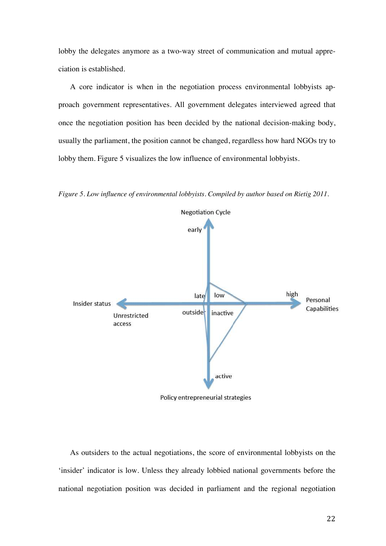lobby the delegates anymore as a two-way street of communication and mutual appreciation is established.

A core indicator is when in the negotiation process environmental lobbyists approach government representatives. All government delegates interviewed agreed that once the negotiation position has been decided by the national decision-making body, usually the parliament, the position cannot be changed, regardless how hard NGOs try to lobby them. Figure 5 visualizes the low influence of environmental lobbyists.

*Figure 5. Low influence of environmental lobbyists. Compiled by author based on Rietig 2011.* 

![](_page_21_Figure_3.jpeg)

Policy entrepreneurial strategies

As outsiders to the actual negotiations, the score of environmental lobbyists on the 'insider' indicator is low. Unless they already lobbied national governments before the national negotiation position was decided in parliament and the regional negotiation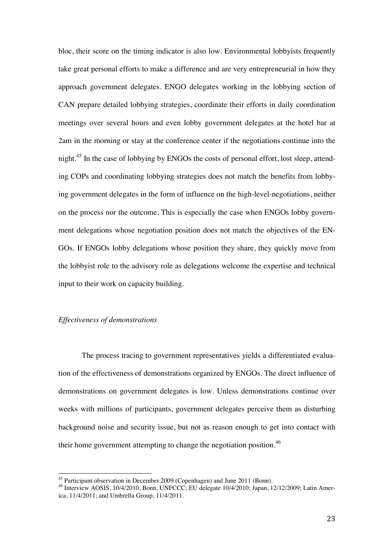bloc, their score on the timing indicator is also low. Environmental lobbyists frequently take great personal efforts to make a difference and are very entrepreneurial in how they approach government delegates. ENGO delegates working in the lobbying section of CAN prepare detailed lobbying strategies, coordinate their efforts in daily coordination meetings over several hours and even lobby government delegates at the hotel bar at 2am in the morning or stay at the conference center if the negotiations continue into the night.45 In the case of lobbying by ENGOs the costs of personal effort, lost sleep, attending COPs and coordinating lobbying strategies does not match the benefits from lobbying government delegates in the form of influence on the high-level-negotiations, neither on the process nor the outcome. This is especially the case when ENGOs lobby government delegations whose negotiation position does not match the objectives of the EN-GOs. If ENGOs lobby delegations whose position they share, they quickly move from the lobbyist role to the advisory role as delegations welcome the expertise and technical input to their work on capacity building.

## *Effectiveness of demonstrations*

 $\overline{a}$ 

The process tracing to government representatives yields a differentiated evaluation of the effectiveness of demonstrations organized by ENGOs. The direct influence of demonstrations on government delegates is low. Unless demonstrations continue over weeks with millions of participants, government delegates perceive them as disturbing background noise and security issue, but not as reason enough to get into contact with their home government attempting to change the negotiation position.<sup>46</sup>

<sup>&</sup>lt;sup>45</sup> Participant observation in December 2009 (Copenhagen) and June 2011 (Bonn).<br><sup>46</sup> Interview AOSIS, 10/4/2010, Bonn, UNFCCC; EU delegate 10/4/2010; Japan, 12/12/2009; Latin America, 11/4/2011; and Umbrella Group, 11/4/2011.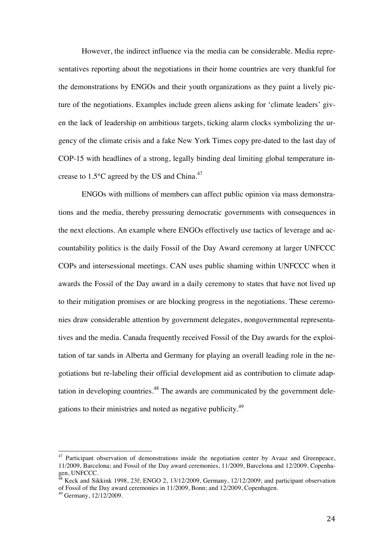However, the indirect influence via the media can be considerable. Media representatives reporting about the negotiations in their home countries are very thankful for the demonstrations by ENGOs and their youth organizations as they paint a lively picture of the negotiations. Examples include green aliens asking for 'climate leaders' given the lack of leadership on ambitious targets, ticking alarm clocks symbolizing the urgency of the climate crisis and a fake New York Times copy pre-dated to the last day of COP-15 with headlines of a strong, legally binding deal limiting global temperature increase to 1.5°C agreed by the US and China.<sup>47</sup>

ENGOs with millions of members can affect public opinion via mass demonstrations and the media, thereby pressuring democratic governments with consequences in the next elections. An example where ENGOs effectively use tactics of leverage and accountability politics is the daily Fossil of the Day Award ceremony at larger UNFCCC COPs and intersessional meetings. CAN uses public shaming within UNFCCC when it awards the Fossil of the Day award in a daily ceremony to states that have not lived up to their mitigation promises or are blocking progress in the negotiations. These ceremonies draw considerable attention by government delegates, nongovernmental representatives and the media. Canada frequently received Fossil of the Day awards for the exploitation of tar sands in Alberta and Germany for playing an overall leading role in the negotiations but re-labeling their official development aid as contribution to climate adaptation in developing countries.<sup>48</sup> The awards are communicated by the government delegations to their ministries and noted as negative publicity.<sup>49</sup>

l

 $47$  Participant observation of demonstrations inside the negotiation center by Avaaz and Greenpeace, 11/2009, Barcelona; and Fossil of the Day award ceremonies, 11/2009, Barcelona and 12/2009, Copenhagen, UNFCCC.

<sup>48</sup> Keck and Sikkink 1998, 23f; ENGO 2, 13/12/2009, Germany, 12/12/2009; and participant observation of Fossil of the Day award ceremonies in 11/2009, Bonn; and 12/2009, Copenhagen.

<sup>49</sup> Germany, 12/12/2009.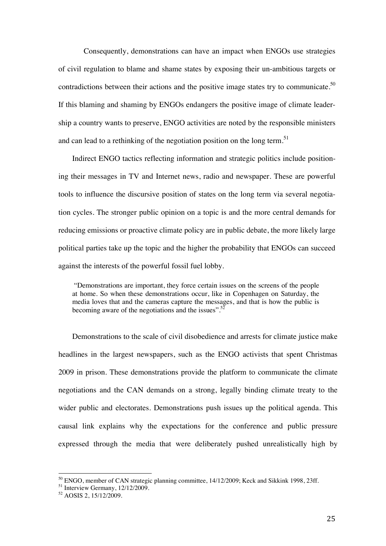Consequently, demonstrations can have an impact when ENGOs use strategies of civil regulation to blame and shame states by exposing their un-ambitious targets or contradictions between their actions and the positive image states try to communicate. $50$ If this blaming and shaming by ENGOs endangers the positive image of climate leadership a country wants to preserve, ENGO activities are noted by the responsible ministers and can lead to a rethinking of the negotiation position on the long term.<sup>51</sup>

Indirect ENGO tactics reflecting information and strategic politics include positioning their messages in TV and Internet news, radio and newspaper. These are powerful tools to influence the discursive position of states on the long term via several negotiation cycles. The stronger public opinion on a topic is and the more central demands for reducing emissions or proactive climate policy are in public debate, the more likely large political parties take up the topic and the higher the probability that ENGOs can succeed against the interests of the powerful fossil fuel lobby.

 "Demonstrations are important, they force certain issues on the screens of the people at home. So when these demonstrations occur, like in Copenhagen on Saturday, the media loves that and the cameras capture the messages, and that is how the public is becoming aware of the negotiations and the issues".<sup>52</sup>

Demonstrations to the scale of civil disobedience and arrests for climate justice make headlines in the largest newspapers, such as the ENGO activists that spent Christmas 2009 in prison. These demonstrations provide the platform to communicate the climate negotiations and the CAN demands on a strong, legally binding climate treaty to the wider public and electorates. Demonstrations push issues up the political agenda. This causal link explains why the expectations for the conference and public pressure expressed through the media that were deliberately pushed unrealistically high by

 $50$  ENGO, member of CAN strategic planning committee,  $14/12/2009$ ; Keck and Sikkink 1998, 23ff.

<sup>&</sup>lt;sup>51</sup> Interview Germany, 12/12/2009.

 $52$  AOSIS 2, 15/12/2009.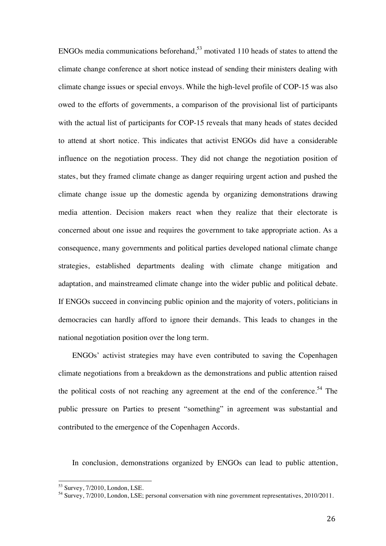ENGOs media communications beforehand, $5<sup>3</sup>$  motivated 110 heads of states to attend the climate change conference at short notice instead of sending their ministers dealing with climate change issues or special envoys. While the high-level profile of COP-15 was also owed to the efforts of governments, a comparison of the provisional list of participants with the actual list of participants for COP-15 reveals that many heads of states decided to attend at short notice. This indicates that activist ENGOs did have a considerable influence on the negotiation process. They did not change the negotiation position of states, but they framed climate change as danger requiring urgent action and pushed the climate change issue up the domestic agenda by organizing demonstrations drawing media attention. Decision makers react when they realize that their electorate is concerned about one issue and requires the government to take appropriate action. As a consequence, many governments and political parties developed national climate change strategies, established departments dealing with climate change mitigation and adaptation, and mainstreamed climate change into the wider public and political debate. If ENGOs succeed in convincing public opinion and the majority of voters, politicians in democracies can hardly afford to ignore their demands. This leads to changes in the national negotiation position over the long term.

ENGOs' activist strategies may have even contributed to saving the Copenhagen climate negotiations from a breakdown as the demonstrations and public attention raised the political costs of not reaching any agreement at the end of the conference.<sup>54</sup> The public pressure on Parties to present "something" in agreement was substantial and contributed to the emergence of the Copenhagen Accords.

In conclusion, demonstrations organized by ENGOs can lead to public attention,

<sup>53</sup> Survey, 7/2010, London, LSE.

<sup>&</sup>lt;sup>54</sup> Survey, 7/2010, London, LSE; personal conversation with nine government representatives, 2010/2011.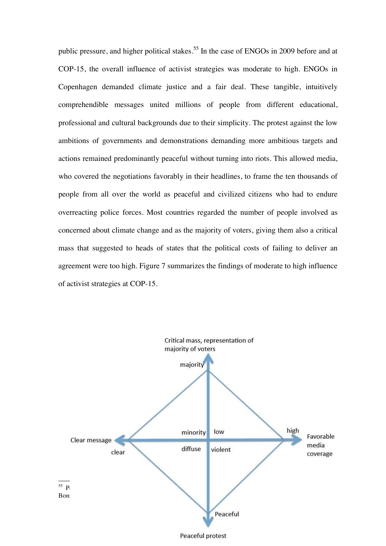public pressure, and higher political stakes.<sup>55</sup> In the case of ENGOs in 2009 before and at COP-15, the overall influence of activist strategies was moderate to high. ENGOs in Copenhagen demanded climate justice and a fair deal. These tangible, intuitively comprehendible messages united millions of people from different educational, professional and cultural backgrounds due to their simplicity. The protest against the low ambitions of governments and demonstrations demanding more ambitious targets and actions remained predominantly peaceful without turning into riots. This allowed media, who covered the negotiations favorably in their headlines, to frame the ten thousands of people from all over the world as peaceful and civilized citizens who had to endure overreacting police forces. Most countries regarded the number of people involved as concerned about climate change and as the majority of voters, giving them also a critical mass that suggested to heads of states that the political costs of failing to deliver an agreement were too high. Figure 7 summarizes the findings of moderate to high influence of activist strategies at COP-15.

![](_page_26_Figure_1.jpeg)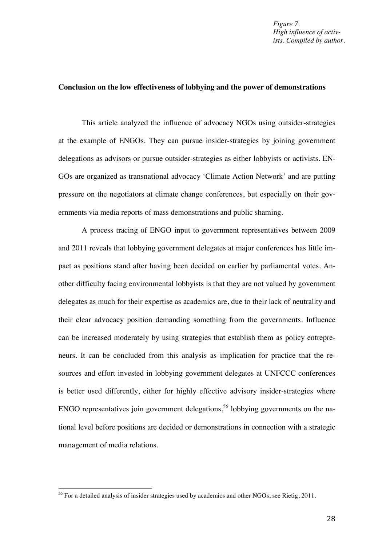*Figure 7. High influence of activists. Compiled by author.* 

#### **Conclusion on the low effectiveness of lobbying and the power of demonstrations**

This article analyzed the influence of advocacy NGOs using outsider-strategies at the example of ENGOs. They can pursue insider-strategies by joining government delegations as advisors or pursue outsider-strategies as either lobbyists or activists. EN-GOs are organized as transnational advocacy 'Climate Action Network' and are putting pressure on the negotiators at climate change conferences, but especially on their governments via media reports of mass demonstrations and public shaming.

A process tracing of ENGO input to government representatives between 2009 and 2011 reveals that lobbying government delegates at major conferences has little impact as positions stand after having been decided on earlier by parliamental votes. Another difficulty facing environmental lobbyists is that they are not valued by government delegates as much for their expertise as academics are, due to their lack of neutrality and their clear advocacy position demanding something from the governments. Influence can be increased moderately by using strategies that establish them as policy entrepreneurs. It can be concluded from this analysis as implication for practice that the resources and effort invested in lobbying government delegates at UNFCCC conferences is better used differently, either for highly effective advisory insider-strategies where ENGO representatives join government delegations,<sup>56</sup> lobbying governments on the national level before positions are decided or demonstrations in connection with a strategic management of media relations.

 $56$  For a detailed analysis of insider strategies used by academics and other NGOs, see Rietig, 2011.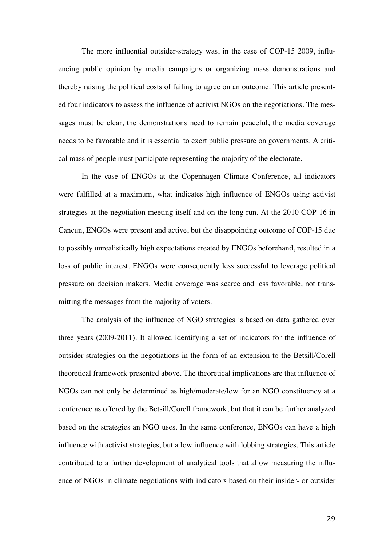The more influential outsider-strategy was, in the case of COP-15 2009, influencing public opinion by media campaigns or organizing mass demonstrations and thereby raising the political costs of failing to agree on an outcome. This article presented four indicators to assess the influence of activist NGOs on the negotiations. The messages must be clear, the demonstrations need to remain peaceful, the media coverage needs to be favorable and it is essential to exert public pressure on governments. A critical mass of people must participate representing the majority of the electorate.

In the case of ENGOs at the Copenhagen Climate Conference, all indicators were fulfilled at a maximum, what indicates high influence of ENGOs using activist strategies at the negotiation meeting itself and on the long run. At the 2010 COP-16 in Cancun, ENGOs were present and active, but the disappointing outcome of COP-15 due to possibly unrealistically high expectations created by ENGOs beforehand, resulted in a loss of public interest. ENGOs were consequently less successful to leverage political pressure on decision makers. Media coverage was scarce and less favorable, not transmitting the messages from the majority of voters.

The analysis of the influence of NGO strategies is based on data gathered over three years (2009-2011). It allowed identifying a set of indicators for the influence of outsider-strategies on the negotiations in the form of an extension to the Betsill/Corell theoretical framework presented above. The theoretical implications are that influence of NGOs can not only be determined as high/moderate/low for an NGO constituency at a conference as offered by the Betsill/Corell framework, but that it can be further analyzed based on the strategies an NGO uses. In the same conference, ENGOs can have a high influence with activist strategies, but a low influence with lobbing strategies. This article contributed to a further development of analytical tools that allow measuring the influence of NGOs in climate negotiations with indicators based on their insider- or outsider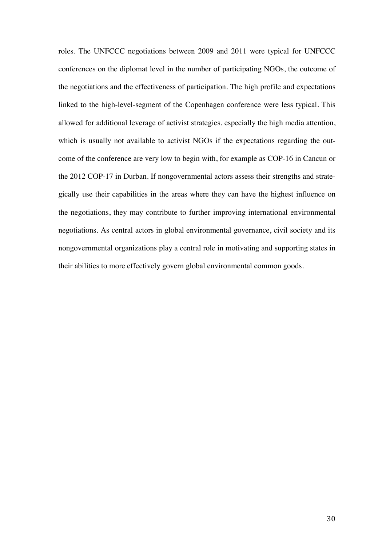roles. The UNFCCC negotiations between 2009 and 2011 were typical for UNFCCC conferences on the diplomat level in the number of participating NGOs, the outcome of the negotiations and the effectiveness of participation. The high profile and expectations linked to the high-level-segment of the Copenhagen conference were less typical. This allowed for additional leverage of activist strategies, especially the high media attention, which is usually not available to activist NGOs if the expectations regarding the outcome of the conference are very low to begin with, for example as COP-16 in Cancun or the 2012 COP-17 in Durban. If nongovernmental actors assess their strengths and strategically use their capabilities in the areas where they can have the highest influence on the negotiations, they may contribute to further improving international environmental negotiations. As central actors in global environmental governance, civil society and its nongovernmental organizations play a central role in motivating and supporting states in their abilities to more effectively govern global environmental common goods.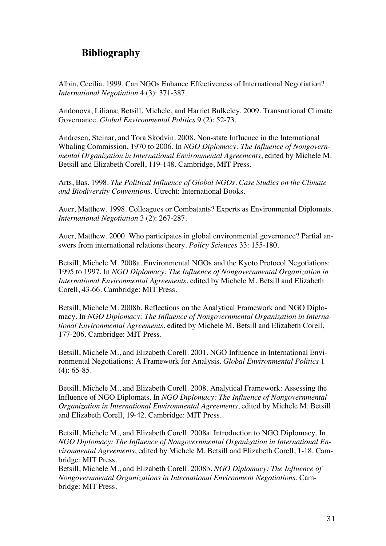# **Bibliography**

Albin, Cecilia. 1999. Can NGOs Enhance Effectiveness of International Negotiation? *International Negotiation* 4 (3): 371-387.

Andonova, Liliana; Betsill, Michele, and Harriet Bulkeley. 2009. Transnational Climate Governance. *Global Environmental Politics* 9 (2): 52-73.

Andresen, Steinar, and Tora Skodvin. 2008. Non-state Influence in the International Whaling Commission, 1970 to 2006. In *NGO Diplomacy: The Influence of Nongovernmental Organization in International Environmental Agreements*, edited by Michele M. Betsill and Elizabeth Corell, 119-148. Cambridge, MIT Press.

Arts, Bas. 1998. *The Political Influence of Global NGOs. Case Studies on the Climate and Biodiversity Conventions*. Utrecht: International Books.

Auer, Matthew. 1998. Colleagues or Combatants? Experts as Environmental Diplomats. *International Negotiation* 3 (2): 267-287.

Auer, Matthew. 2000. Who participates in global environmental governance? Partial answers from international relations theory. *Policy Sciences* 33: 155-180.

Betsill, Michele M. 2008a. Environmental NGOs and the Kyoto Protocol Negotiations: 1995 to 1997. In *NGO Diplomacy: The Influence of Nongovernmental Organization in International Environmental Agreements*, edited by Michele M. Betsill and Elizabeth Corell, 43-66. Cambridge: MIT Press.

Betsill, Michele M. 2008b. Reflections on the Analytical Framework and NGO Diplomacy. In *NGO Diplomacy: The Influence of Nongovernmental Organization in International Environmental Agreements*, edited by Michele M. Betsill and Elizabeth Corell, 177-206. Cambridge: MIT Press.

Betsill, Michele M., and Elizabeth Corell. 2001. NGO Influence in International Environmental Negotiations: A Framework for Analysis. *Global Environmental Politics* 1 (4): 65-85.

Betsill, Michele M., and Elizabeth Corell. 2008. Analytical Framework: Assessing the Influence of NGO Diplomats. In *NGO Diplomacy: The Influence of Nongovernmental Organization in International Environmental Agreements*, edited by Michele M. Betsill and Elizabeth Corell, 19-42. Cambridge: MIT Press.

Betsill, Michele M., and Elizabeth Corell. 2008a. Introduction to NGO Diplomacy. In *NGO Diplomacy: The Influence of Nongovernmental Organization in International Environmental Agreements*, edited by Michele M. Betsill and Elizabeth Corell, 1-18. Cambridge: MIT Press.

Betsill, Michele M., and Elizabeth Corell. 2008b. *NGO Diplomacy: The Influence of Nongovernmental Organizations in International Environment Negotiations.* Cambridge: MIT Press.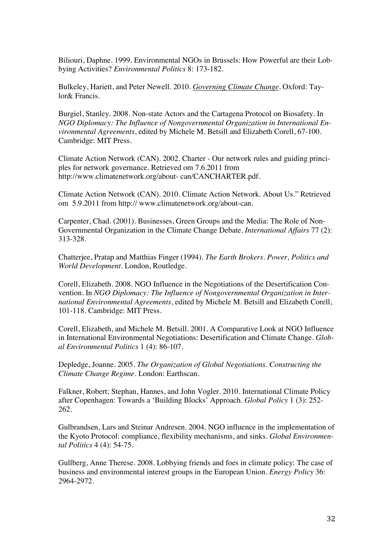Biliouri, Daphne. 1999. Environmental NGOs in Brussels: How Powerful are their Lobbying Activities? *Environmental Politics* 8: 173-182.

Bulkeley, Hariett, and Peter Newell. 2010. *Governing Climate Change*. Oxford: Taylor& Francis.

Burgiel, Stanley. 2008. Non-state Actors and the Cartagena Protocol on Biosafety. In *NGO Diplomacy: The Influence of Nongovernmental Organization in International Environmental Agreements*, edited by Michele M. Betsill and Elizabeth Corell, 67-100. Cambridge: MIT Press.

Climate Action Network (CAN). 2002. Charter - Our network rules and guiding principles for network governance. Retrieved om 7.6.2011 from http://www.climatenetwork.org/about- can/CANCHARTER.pdf.

Climate Action Network (CAN). 2010. Climate Action Network. About Us." Retrieved om 5.9.2011 from http:// www.climatenetwork.org/about-can.

Carpenter, Chad. (2001). Businesses, Green Groups and the Media: The Role of Non-Governmental Organization in the Climate Change Debate. *International Affairs* 77 (2): 313-328.

Chatterjee, Pratap and Matthias Finger (1994). *The Earth Brokers. Power, Politics and World Development*. London, Routledge.

Corell, Elizabeth. 2008. NGO Influence in the Negotiations of the Desertification Convention. In *NGO Diplomacy: The Influence of Nongovernmental Organization in International Environmental Agreements*, edited by Michele M. Betsill and Elizabeth Corell, 101-118. Cambridge: MIT Press.

Corell, Elizabeth, and Michele M. Betsill. 2001. A Comparative Look at NGO Influence in International Environmental Negotiations: Desertification and Climate Change. *Global Environmental Politics* 1 (4): 86-107.

Depledge, Joanne. 2005. *The Organization of Global Negotiations. Constructing the Climate Change Regime*. London: Earthscan.

Falkner, Robert; Stephan, Hannes, and John Vogler. 2010. International Climate Policy after Copenhagen: Towards a 'Building Blocks' Approach. *Global Policy* 1 (3): 252- 262.

Gulbrandsen, Lars and Steinar Andresen. 2004. NGO influence in the implementation of the Kyoto Protocol: compliance, flexibility mechanisms, and sinks. *Global Environmental Politics* 4 (4): 54-75.

Gullberg, Anne Therese. 2008. Lobbying friends and foes in climate policy: The case of business and environmental interest groups in the European Union. *Energy Policy* 36: 2964-2972.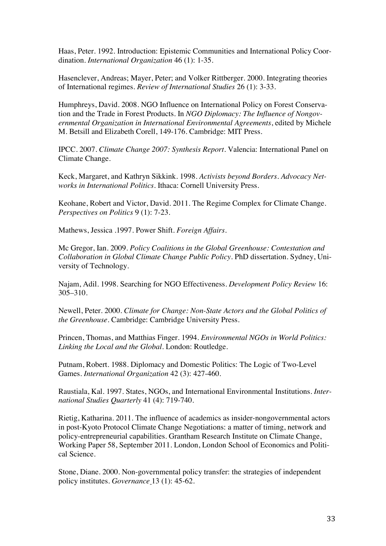Haas, Peter. 1992. Introduction: Epistemic Communities and International Policy Coordination. *International Organization* 46 (1): 1-35.

Hasenclever, Andreas; Mayer, Peter; and Volker Rittberger. 2000. Integrating theories of International regimes. *Review of International Studies* 26 (1): 3-33.

Humphreys, David. 2008. NGO Influence on International Policy on Forest Conservation and the Trade in Forest Products. In *NGO Diplomacy: The Influence of Nongovernmental Organization in International Environmental Agreements*, edited by Michele M. Betsill and Elizabeth Corell, 149-176. Cambridge: MIT Press.

IPCC. 2007. *Climate Change 2007: Synthesis Report.* Valencia: International Panel on Climate Change.

Keck, Margaret, and Kathryn Sikkink. 1998. *Activists beyond Borders. Advocacy Networks in International Politics*. Ithaca: Cornell University Press.

Keohane, Robert and Victor, David. 2011. The Regime Complex for Climate Change. *Perspectives on Politics* 9 (1): 7-23.

Mathews, Jessica .1997. Power Shift. *Foreign Affairs.*

Mc Gregor, Ian. 2009. *Policy Coalitions in the Global Greenhouse: Contestation and Collaboration in Global Climate Change Public Policy*. PhD dissertation. Sydney, University of Technology.

Najam, Adil. 1998. Searching for NGO Effectiveness. *Development Policy Review* 16: 305–310.

Newell, Peter. 2000. *Climate for Change: Non-State Actors and the Global Politics of the Greenhouse*. Cambridge: Cambridge University Press.

Princen, Thomas, and Matthias Finger. 1994. *Environmental NGOs in World Politics: Linking the Local and the Global*. London: Routledge.

Putnam, Robert. 1988. Diplomacy and Domestic Politics: The Logic of Two-Level Games. *International Organization* 42 (3): 427-460.

Raustiala, Kal. 1997. States, NGOs, and International Environmental Institutions. *International Studies Quarterly* 41 (4): 719-740.

Rietig, Katharina. 2011. The influence of academics as insider-nongovernmental actors in post-Kyoto Protocol Climate Change Negotiations: a matter of timing, network and policy-entrepreneurial capabilities. Grantham Research Institute on Climate Change, Working Paper 58, September 2011. London, London School of Economics and Political Science.

Stone, Diane. 2000. Non-governmental policy transfer: the strategies of independent policy institutes. *Governance* 13 (1): 45-62.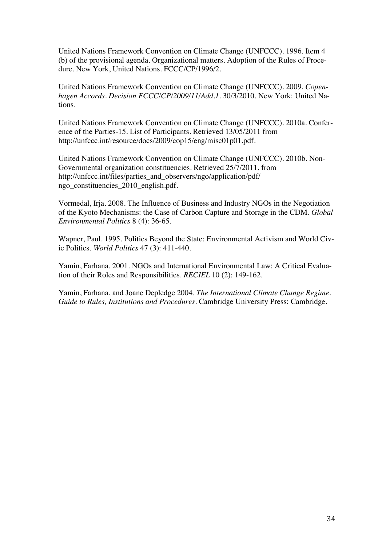United Nations Framework Convention on Climate Change (UNFCCC). 1996. Item 4 (b) of the provisional agenda. Organizational matters. Adoption of the Rules of Procedure. New York, United Nations. FCCC/CP/1996/2.

United Nations Framework Convention on Climate Change (UNFCCC). 2009. *Copenhagen Accords*. *Decision FCCC/CP/2009/11/Add.1.* 30/3/2010. New York: United Nations.

United Nations Framework Convention on Climate Change (UNFCCC). 2010a. Conference of the Parties-15. List of Participants. Retrieved 13/05/2011 from http://unfccc.int/resource/docs/2009/cop15/eng/misc01p01.pdf.

United Nations Framework Convention on Climate Change (UNFCCC). 2010b. Non-Governmental organization constituencies. Retrieved 25/7/2011, from http://unfccc.int/files/parties\_and\_observers/ngo/application/pdf/ ngo\_constituencies\_2010\_english.pdf.

Vormedal, Irja. 2008. The Influence of Business and Industry NGOs in the Negotiation of the Kyoto Mechanisms: the Case of Carbon Capture and Storage in the CDM. *Global Environmental Politics* 8 (4): 36-65.

Wapner, Paul. 1995. Politics Beyond the State: Environmental Activism and World Civic Politics. *World Politics* 47 (3): 411-440.

Yamin, Farhana. 2001. NGOs and International Environmental Law: A Critical Evaluation of their Roles and Responsibilities. *RECIEL* 10 (2): 149-162.

Yamin, Farhana, and Joane Depledge 2004. *The International Climate Change Regime. Guide to Rules, Institutions and Procedures*. Cambridge University Press: Cambridge.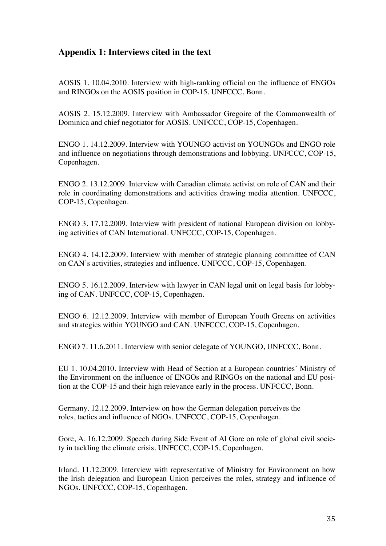# **Appendix 1: Interviews cited in the text**

AOSIS 1. 10.04.2010. Interview with high-ranking official on the influence of ENGOs and RINGOs on the AOSIS position in COP-15. UNFCCC, Bonn.

AOSIS 2. 15.12.2009. Interview with Ambassador Gregoire of the Commonwealth of Dominica and chief negotiator for AOSIS. UNFCCC, COP-15, Copenhagen.

ENGO 1. 14.12.2009. Interview with YOUNGO activist on YOUNGOs and ENGO role and influence on negotiations through demonstrations and lobbying. UNFCCC, COP-15, Copenhagen.

ENGO 2. 13.12.2009. Interview with Canadian climate activist on role of CAN and their role in coordinating demonstrations and activities drawing media attention. UNFCCC, COP-15, Copenhagen.

ENGO 3. 17.12.2009. Interview with president of national European division on lobbying activities of CAN International. UNFCCC, COP-15, Copenhagen.

ENGO 4. 14.12.2009. Interview with member of strategic planning committee of CAN on CAN's activities, strategies and influence. UNFCCC, COP-15, Copenhagen.

ENGO 5. 16.12.2009. Interview with lawyer in CAN legal unit on legal basis for lobbying of CAN. UNFCCC, COP-15, Copenhagen.

ENGO 6. 12.12.2009. Interview with member of European Youth Greens on activities and strategies within YOUNGO and CAN. UNFCCC, COP-15, Copenhagen.

ENGO 7. 11.6.2011. Interview with senior delegate of YOUNGO, UNFCCC, Bonn.

EU 1. 10.04.2010. Interview with Head of Section at a European countries' Ministry of the Environment on the influence of ENGOs and RINGOs on the national and EU position at the COP-15 and their high relevance early in the process. UNFCCC, Bonn.

Germany. 12.12.2009. Interview on how the German delegation perceives the roles, tactics and influence of NGOs. UNFCCC, COP-15, Copenhagen.

Gore, A. 16.12.2009. Speech during Side Event of Al Gore on role of global civil society in tackling the climate crisis. UNFCCC, COP-15, Copenhagen.

Irland. 11.12.2009. Interview with representative of Ministry for Environment on how the Irish delegation and European Union perceives the roles, strategy and influence of NGOs. UNFCCC, COP-15, Copenhagen.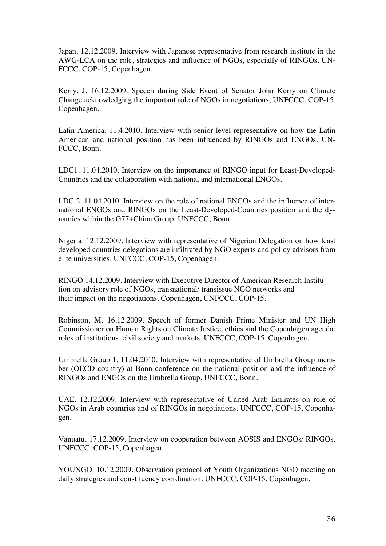Japan. 12.12.2009. Interview with Japanese representative from research institute in the AWG-LCA on the role, strategies and influence of NGOs, especially of RINGOs. UN-FCCC, COP-15, Copenhagen.

Kerry, J. 16.12.2009. Speech during Side Event of Senator John Kerry on Climate Change acknowledging the important role of NGOs in negotiations, UNFCCC, COP-15, Copenhagen.

Latin America. 11.4.2010. Interview with senior level representative on how the Latin American and national position has been influenced by RINGOs and ENGOs. UN-FCCC, Bonn.

LDC1. 11.04.2010. Interview on the importance of RINGO input for Least-Developed-Countries and the collaboration with national and international ENGOs.

LDC 2. 11.04.2010. Interview on the role of national ENGOs and the influence of international ENGOs and RINGOs on the Least-Developed-Countries position and the dynamics within the G77+China Group. UNFCCC, Bonn.

Nigeria. 12.12.2009. Interview with representative of Nigerian Delegation on how least developed countries delegations are infiltrated by NGO experts and policy advisors from elite universities. UNFCCC, COP-15, Copenhagen.

RINGO 14.12.2009. Interview with Executive Director of American Research Institution on advisory role of NGOs, transnational/ transissue NGO networks and their impact on the negotiations. Copenhagen, UNFCCC, COP-15.

Robinson, M. 16.12.2009. Speech of former Danish Prime Minister and UN High Commissioner on Human Rights on Climate Justice, ethics and the Copenhagen agenda: roles of institutions, civil society and markets. UNFCCC, COP-15, Copenhagen.

Umbrella Group 1. 11.04.2010. Interview with representative of Umbrella Group member (OECD country) at Bonn conference on the national position and the influence of RINGOs and ENGOs on the Umbrella Group. UNFCCC, Bonn.

UAE. 12.12.2009. Interview with representative of United Arab Emirates on role of NGOs in Arab countries and of RINGOs in negotiations. UNFCCC, COP-15, Copenhagen.

Vanuatu. 17.12.2009. Interview on cooperation between AOSIS and ENGOs/ RINGOs. UNFCCC, COP-15, Copenhagen.

YOUNGO. 10.12.2009. Observation protocol of Youth Organizations NGO meeting on daily strategies and constituency coordination. UNFCCC, COP-15, Copenhagen.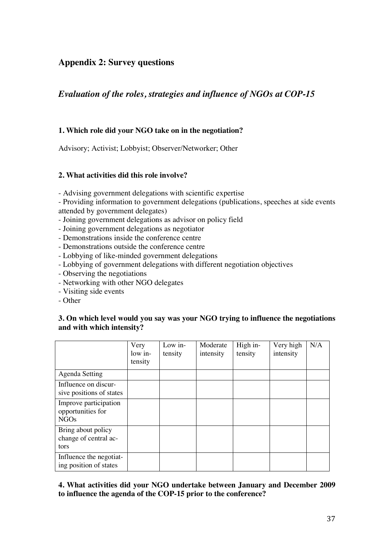# **Appendix 2: Survey questions**

# *Evaluation of the roles, strategies and influence of NGOs at COP-15*

# **1. Which role did your NGO take on in the negotiation?**

Advisory; Activist; Lobbyist; Observer/Networker; Other

## **2. What activities did this role involve?**

- Advising government delegations with scientific expertise

- Providing information to government delegations (publications, speeches at side events attended by government delegates)

- Joining government delegations as advisor on policy field
- Joining government delegations as negotiator
- Demonstrations inside the conference centre
- Demonstrations outside the conference centre
- Lobbying of like-minded government delegations
- Lobbying of government delegations with different negotiation objectives
- Observing the negotiations
- Networking with other NGO delegates
- Visiting side events
- Other

# **3. On which level would you say was your NGO trying to influence the negotiations and with which intensity?**

|                                                           | Very<br>low in-<br>tensity | Low in-<br>tensity | Moderate<br>intensity | High in-<br>tensity | Very high<br>intensity | N/A |
|-----------------------------------------------------------|----------------------------|--------------------|-----------------------|---------------------|------------------------|-----|
| Agenda Setting                                            |                            |                    |                       |                     |                        |     |
| Influence on discur-<br>sive positions of states          |                            |                    |                       |                     |                        |     |
| Improve participation<br>opportunities for<br><b>NGOs</b> |                            |                    |                       |                     |                        |     |
| Bring about policy<br>change of central ac-<br>tors       |                            |                    |                       |                     |                        |     |
| Influence the negotiat-<br>ing position of states         |                            |                    |                       |                     |                        |     |

# **4. What activities did your NGO undertake between January and December 2009 to influence the agenda of the COP-15 prior to the conference?**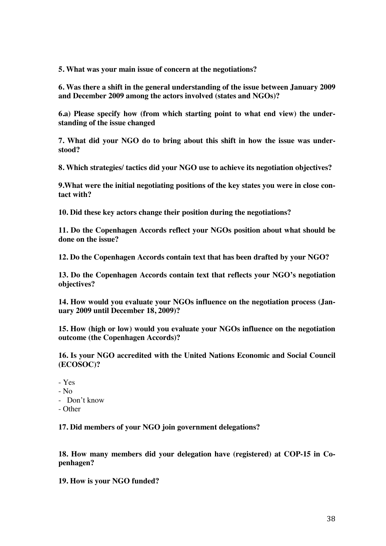**5. What was your main issue of concern at the negotiations?** 

**6. Was there a shift in the general understanding of the issue between January 2009 and December 2009 among the actors involved (states and NGOs)?** 

**6.a) Please specify how (from which starting point to what end view) the understanding of the issue changed** 

**7. What did your NGO do to bring about this shift in how the issue was understood?** 

**8. Which strategies/ tactics did your NGO use to achieve its negotiation objectives?** 

**9.What were the initial negotiating positions of the key states you were in close contact with?** 

**10. Did these key actors change their position during the negotiations?** 

**11. Do the Copenhagen Accords reflect your NGOs position about what should be done on the issue?** 

**12. Do the Copenhagen Accords contain text that has been drafted by your NGO?** 

**13. Do the Copenhagen Accords contain text that reflects your NGO's negotiation objectives?** 

**14. How would you evaluate your NGOs influence on the negotiation process (January 2009 until December 18, 2009)?** 

**15. How (high or low) would you evaluate your NGOs influence on the negotiation outcome (the Copenhagen Accords)?** 

**16. Is your NGO accredited with the United Nations Economic and Social Council (ECOSOC)?** 

- Yes - No - Don't know - Other

**17. Did members of your NGO join government delegations?** 

**18. How many members did your delegation have (registered) at COP-15 in Copenhagen?** 

**19. How is your NGO funded?**